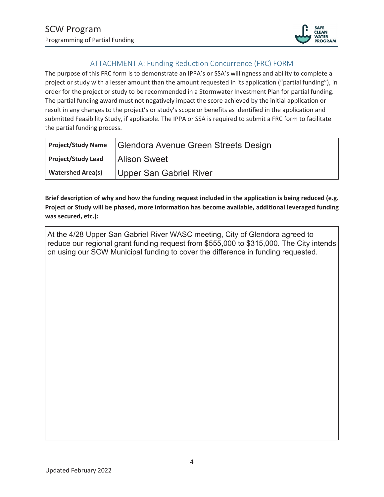

## ATTACHMENT A: Funding Reduction Concurrence (FRC) FORM

The purpose of this FRC form is to demonstrate an IPPA's or SSA's willingness and ability to complete a project or study with a lesser amount than the amount requested in its application ("partial funding"), in order for the project or study to be recommended in a Stormwater Investment Plan for partial funding. The partial funding award must not negatively impact the score achieved by the initial application or result in any changes to the project's or study's scope or benefits as identified in the application and submitted Feasibility Study, if applicable. The IPPA or SSA is required to submit a FRC form to facilitate the partial funding process.

| <b>Project/Study Name</b> | Glendora Avenue Green Streets Design |  |
|---------------------------|--------------------------------------|--|
| <b>Project/Study Lead</b> | <b>Alison Sweet</b>                  |  |
| <b>Watershed Area(s)</b>  | Upper San Gabriel River              |  |

**Brief description of why and how the funding request included in the application is being reduced (e.g. Project or Study will be phased, more information has become available, additional leveraged funding was secured, etc.):** 

At the 4/28 Upper San Gabriel River WASC meeting, City of Glendora agreed to reduce our regional grant funding request from \$555,000 to \$315,000. The City intends on using our SCW Municipal funding to cover the difference in funding requested.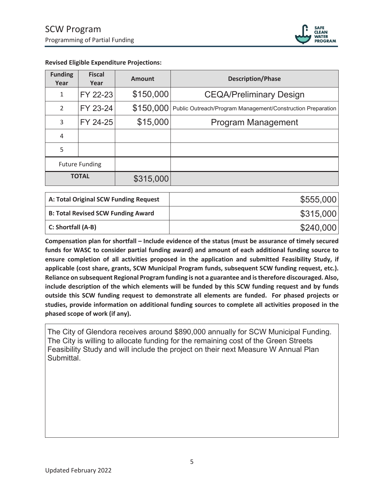

| <b>Funding</b><br>Year | <b>Fiscal</b><br>Year | <b>Amount</b> | <b>Description/Phase</b>                                    |
|------------------------|-----------------------|---------------|-------------------------------------------------------------|
| 1                      | FY 22-23              | \$150,000     | <b>CEQA/Preliminary Design</b>                              |
| 2                      | FY 23-24              | \$150,000     | Public Outreach/Program Management/Construction Preparation |
| 3                      | FY 24-25              | \$15,000      | <b>Program Management</b>                                   |
| 4                      |                       |               |                                                             |
| 5                      |                       |               |                                                             |
| <b>Future Funding</b>  |                       |               |                                                             |
| <b>TOTAL</b>           |                       | \$315,000     |                                                             |

## **Revised Eligible Expenditure Projections:**

| A: Total Original SCW Funding Request     | \$555,000 |
|-------------------------------------------|-----------|
| <b>B: Total Revised SCW Funding Award</b> | \$315,000 |
| C: Shortfall (A-B)                        | \$240,000 |

**Compensation plan for shortfall – Include evidence of the status (must be assurance of timely secured funds for WASC to consider partial funding award) and amount of each additional funding source to ensure completion of all activities proposed in the application and submitted Feasibility Study, if applicable (cost share, grants, SCW Municipal Program funds, subsequent SCW funding request, etc.). Reliance on subsequent Regional Program funding is not a guarantee and is therefore discouraged. Also, include description of the which elements will be funded by this SCW funding request and by funds outside this SCW funding request to demonstrate all elements are funded. For phased projects or studies, provide information on additional funding sources to complete all activities proposed in the phased scope of work (if any).** 

The City of Glendora receives around \$890,000 annually for SCW Municipal Funding. The City is willing to allocate funding for the remaining cost of the Green Streets Feasibility Study and will include the project on their next Measure W Annual Plan Submittal.